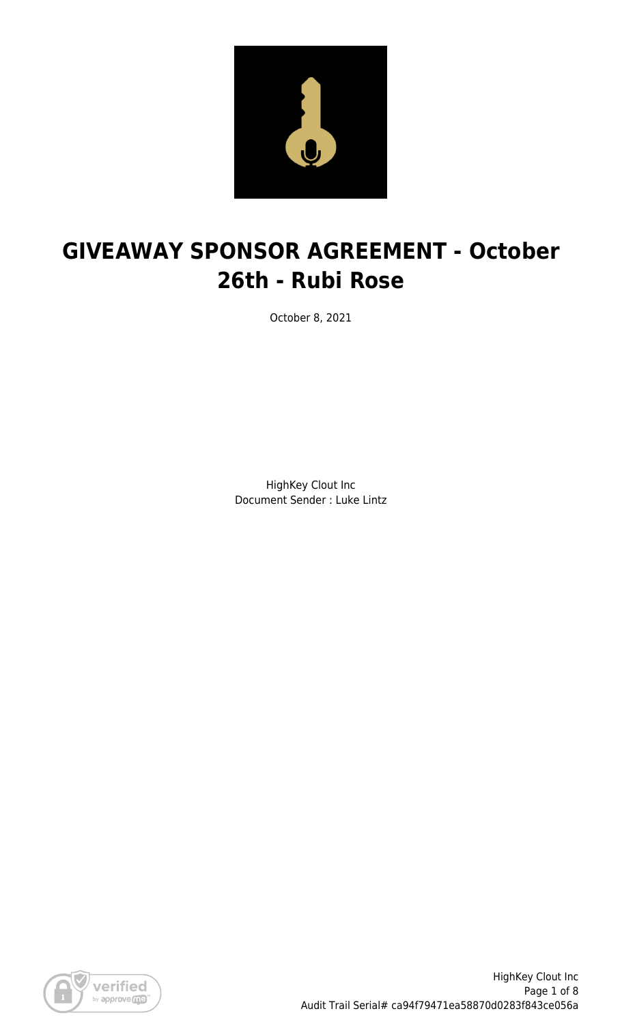

# **GIVEAWAY SPONSOR AGREEMENT - October 26th - Rubi Rose**

October 8, 2021

HighKey Clout Inc Document Sender : Luke Lintz

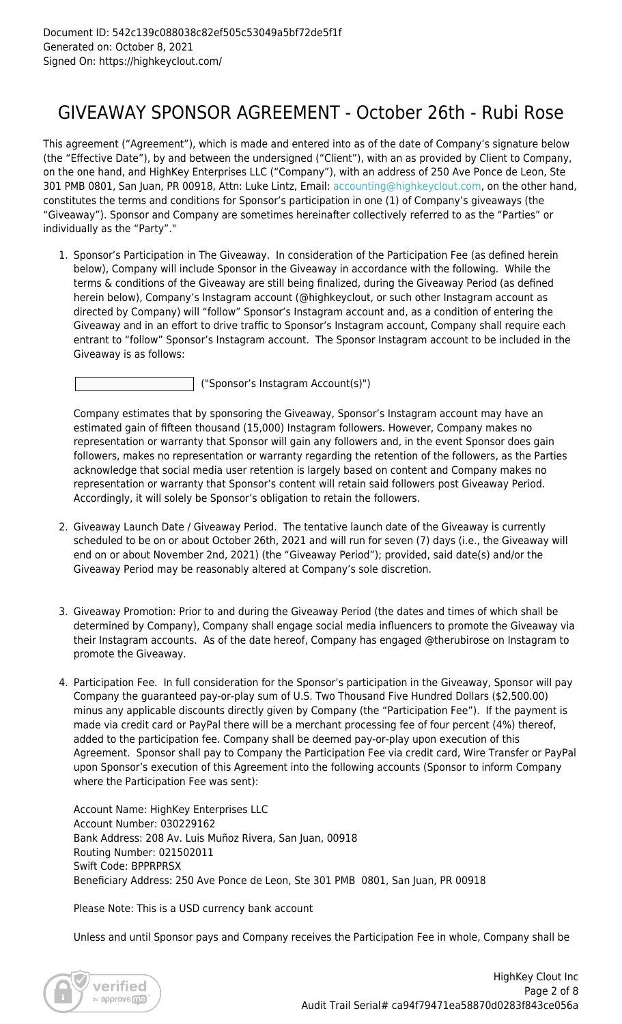### GIVEAWAY SPONSOR AGREEMENT - October 26th - Rubi Rose

This agreement ("Agreement"), which is made and entered into as of the date of Company's signature below (the "Effective Date"), by and between the undersigned ("Client"), with an as provided by Client to Company, on the one hand, and HighKey Enterprises LLC ("Company"), with an address of 250 Ave Ponce de Leon, Ste 301 PMB 0801, San Juan, PR 00918, Attn: Luke Lintz, Email: [accounting@highkeyclout.com,](mailto:accounting@highkeyclout.com) on the other hand, constitutes the terms and conditions for Sponsor's participation in one (1) of Company's giveaways (the "Giveaway"). Sponsor and Company are sometimes hereinafter collectively referred to as the "Parties" or individually as the "Party"."

1. Sponsor's Participation in The Giveaway. In consideration of the Participation Fee (as defined herein below), Company will include Sponsor in the Giveaway in accordance with the following. While the terms & conditions of the Giveaway are still being finalized, during the Giveaway Period (as defined herein below), Company's Instagram account (@highkeyclout, or such other Instagram account as directed by Company) will "follow" Sponsor's Instagram account and, as a condition of entering the Giveaway and in an effort to drive traffic to Sponsor's Instagram account, Company shall require each entrant to "follow" Sponsor's Instagram account. The Sponsor Instagram account to be included in the Giveaway is as follows:

("Sponsor's Instagram Account(s)")

Company estimates that by sponsoring the Giveaway, Sponsor's Instagram account may have an estimated gain of fifteen thousand (15,000) Instagram followers. However, Company makes no representation or warranty that Sponsor will gain any followers and, in the event Sponsor does gain followers, makes no representation or warranty regarding the retention of the followers, as the Parties acknowledge that social media user retention is largely based on content and Company makes no representation or warranty that Sponsor's content will retain said followers post Giveaway Period. Accordingly, it will solely be Sponsor's obligation to retain the followers.

- 2. Giveaway Launch Date / Giveaway Period. The tentative launch date of the Giveaway is currently scheduled to be on or about October 26th, 2021 and will run for seven (7) days (i.e., the Giveaway will end on or about November 2nd, 2021) (the "Giveaway Period"); provided, said date(s) and/or the Giveaway Period may be reasonably altered at Company's sole discretion.
- 3. Giveaway Promotion: Prior to and during the Giveaway Period (the dates and times of which shall be determined by Company), Company shall engage social media influencers to promote the Giveaway via their Instagram accounts. As of the date hereof, Company has engaged @therubirose on Instagram to promote the Giveaway.
- 4. Participation Fee. In full consideration for the Sponsor's participation in the Giveaway, Sponsor will pay Company the guaranteed pay-or-play sum of U.S. Two Thousand Five Hundred Dollars (\$2,500.00) minus any applicable discounts directly given by Company (the "Participation Fee"). If the payment is made via credit card or PayPal there will be a merchant processing fee of four percent (4%) thereof, added to the participation fee. Company shall be deemed pay-or-play upon execution of this Agreement. Sponsor shall pay to Company the Participation Fee via credit card, Wire Transfer or PayPal upon Sponsor's execution of this Agreement into the following accounts (Sponsor to inform Company where the Participation Fee was sent):

Account Name: HighKey Enterprises LLC Account Number: 030229162 Bank Address: 208 Av. Luis Muñoz Rivera, San Juan, 00918 Routing Number: 021502011 Swift Code: BPPRPRSX Beneficiary Address: 250 Ave Ponce de Leon, Ste 301 PMB 0801, San Juan, PR 00918

Please Note: This is a USD currency bank account

Unless and until Sponsor pays and Company receives the Participation Fee in whole, Company shall be

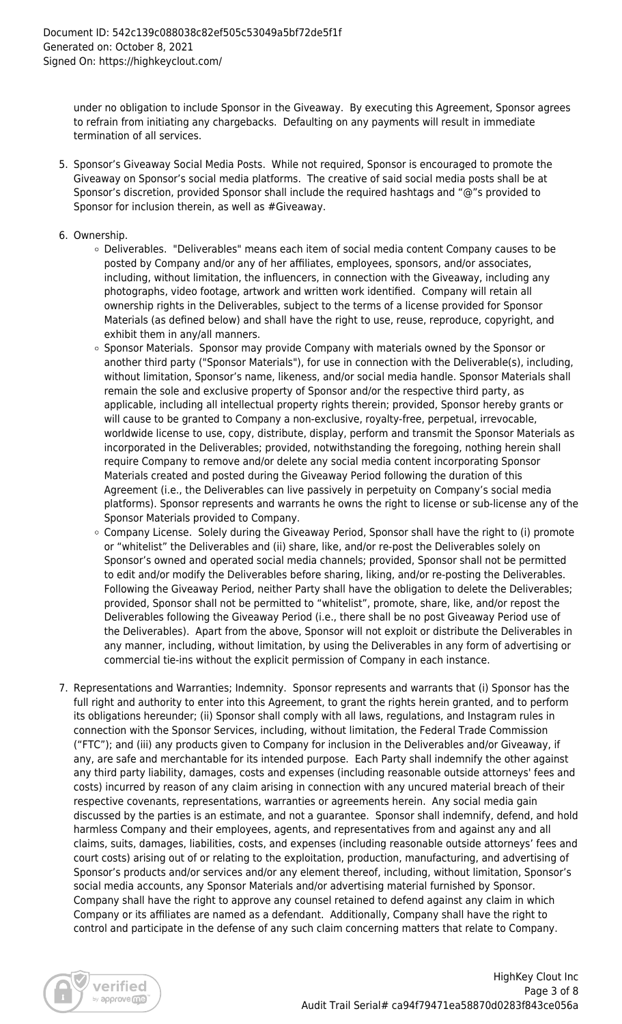under no obligation to include Sponsor in the Giveaway. By executing this Agreement, Sponsor agrees to refrain from initiating any chargebacks. Defaulting on any payments will result in immediate termination of all services.

- 5. Sponsor's Giveaway Social Media Posts. While not required, Sponsor is encouraged to promote the Giveaway on Sponsor's social media platforms. The creative of said social media posts shall be at Sponsor's discretion, provided Sponsor shall include the required hashtags and "@"s provided to Sponsor for inclusion therein, as well as #Giveaway.
- 6. Ownership.
	- Deliverables. "Deliverables" means each item of social media content Company causes to be posted by Company and/or any of her affiliates, employees, sponsors, and/or associates, including, without limitation, the influencers, in connection with the Giveaway, including any photographs, video footage, artwork and written work identified. Company will retain all ownership rights in the Deliverables, subject to the terms of a license provided for Sponsor Materials (as defined below) and shall have the right to use, reuse, reproduce, copyright, and exhibit them in any/all manners.
	- Sponsor Materials. Sponsor may provide Company with materials owned by the Sponsor or another third party ("Sponsor Materials"), for use in connection with the Deliverable(s), including, without limitation, Sponsor's name, likeness, and/or social media handle. Sponsor Materials shall remain the sole and exclusive property of Sponsor and/or the respective third party, as applicable, including all intellectual property rights therein; provided, Sponsor hereby grants or will cause to be granted to Company a non-exclusive, royalty-free, perpetual, irrevocable, worldwide license to use, copy, distribute, display, perform and transmit the Sponsor Materials as incorporated in the Deliverables; provided, notwithstanding the foregoing, nothing herein shall require Company to remove and/or delete any social media content incorporating Sponsor Materials created and posted during the Giveaway Period following the duration of this Agreement (i.e., the Deliverables can live passively in perpetuity on Company's social media platforms). Sponsor represents and warrants he owns the right to license or sub-license any of the Sponsor Materials provided to Company.
	- $\circ$  Company License. Solely during the Giveaway Period, Sponsor shall have the right to (i) promote or "whitelist" the Deliverables and (ii) share, like, and/or re-post the Deliverables solely on Sponsor's owned and operated social media channels; provided, Sponsor shall not be permitted to edit and/or modify the Deliverables before sharing, liking, and/or re-posting the Deliverables. Following the Giveaway Period, neither Party shall have the obligation to delete the Deliverables; provided, Sponsor shall not be permitted to "whitelist", promote, share, like, and/or repost the Deliverables following the Giveaway Period (i.e., there shall be no post Giveaway Period use of the Deliverables). Apart from the above, Sponsor will not exploit or distribute the Deliverables in any manner, including, without limitation, by using the Deliverables in any form of advertising or commercial tie-ins without the explicit permission of Company in each instance.
- 7. Representations and Warranties; Indemnity. Sponsor represents and warrants that (i) Sponsor has the full right and authority to enter into this Agreement, to grant the rights herein granted, and to perform its obligations hereunder; (ii) Sponsor shall comply with all laws, regulations, and Instagram rules in connection with the Sponsor Services, including, without limitation, the Federal Trade Commission ("FTC"); and (iii) any products given to Company for inclusion in the Deliverables and/or Giveaway, if any, are safe and merchantable for its intended purpose. Each Party shall indemnify the other against any third party liability, damages, costs and expenses (including reasonable outside attorneys' fees and costs) incurred by reason of any claim arising in connection with any uncured material breach of their respective covenants, representations, warranties or agreements herein. Any social media gain discussed by the parties is an estimate, and not a guarantee. Sponsor shall indemnify, defend, and hold harmless Company and their employees, agents, and representatives from and against any and all claims, suits, damages, liabilities, costs, and expenses (including reasonable outside attorneys' fees and court costs) arising out of or relating to the exploitation, production, manufacturing, and advertising of Sponsor's products and/or services and/or any element thereof, including, without limitation, Sponsor's social media accounts, any Sponsor Materials and/or advertising material furnished by Sponsor. Company shall have the right to approve any counsel retained to defend against any claim in which Company or its affiliates are named as a defendant. Additionally, Company shall have the right to control and participate in the defense of any such claim concerning matters that relate to Company.

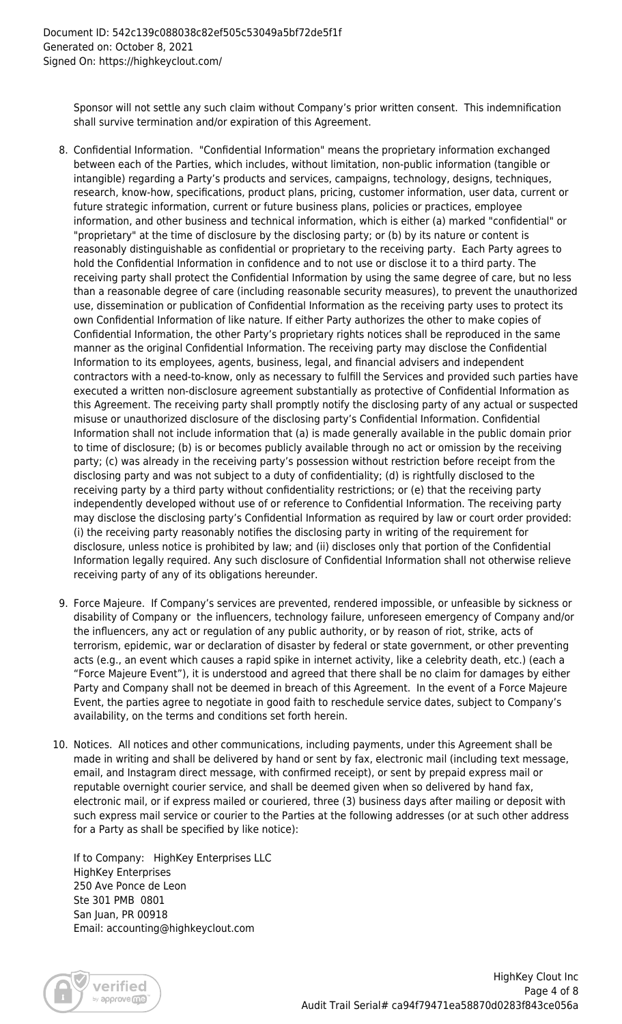Sponsor will not settle any such claim without Company's prior written consent. This indemnification shall survive termination and/or expiration of this Agreement.

- 8. Confidential Information. "Confidential Information" means the proprietary information exchanged between each of the Parties, which includes, without limitation, non-public information (tangible or intangible) regarding a Party's products and services, campaigns, technology, designs, techniques, research, know-how, specifications, product plans, pricing, customer information, user data, current or future strategic information, current or future business plans, policies or practices, employee information, and other business and technical information, which is either (a) marked "confidential" or "proprietary" at the time of disclosure by the disclosing party; or (b) by its nature or content is reasonably distinguishable as confidential or proprietary to the receiving party. Each Party agrees to hold the Confidential Information in confidence and to not use or disclose it to a third party. The receiving party shall protect the Confidential Information by using the same degree of care, but no less than a reasonable degree of care (including reasonable security measures), to prevent the unauthorized use, dissemination or publication of Confidential Information as the receiving party uses to protect its own Confidential Information of like nature. If either Party authorizes the other to make copies of Confidential Information, the other Party's proprietary rights notices shall be reproduced in the same manner as the original Confidential Information. The receiving party may disclose the Confidential Information to its employees, agents, business, legal, and financial advisers and independent contractors with a need-to-know, only as necessary to fulfill the Services and provided such parties have executed a written non-disclosure agreement substantially as protective of Confidential Information as this Agreement. The receiving party shall promptly notify the disclosing party of any actual or suspected misuse or unauthorized disclosure of the disclosing party's Confidential Information. Confidential Information shall not include information that (a) is made generally available in the public domain prior to time of disclosure; (b) is or becomes publicly available through no act or omission by the receiving party; (c) was already in the receiving party's possession without restriction before receipt from the disclosing party and was not subject to a duty of confidentiality; (d) is rightfully disclosed to the receiving party by a third party without confidentiality restrictions; or (e) that the receiving party independently developed without use of or reference to Confidential Information. The receiving party may disclose the disclosing party's Confidential Information as required by law or court order provided: (i) the receiving party reasonably notifies the disclosing party in writing of the requirement for disclosure, unless notice is prohibited by law; and (ii) discloses only that portion of the Confidential Information legally required. Any such disclosure of Confidential Information shall not otherwise relieve receiving party of any of its obligations hereunder.
- 9. Force Majeure. If Company's services are prevented, rendered impossible, or unfeasible by sickness or disability of Company or the influencers, technology failure, unforeseen emergency of Company and/or the influencers, any act or regulation of any public authority, or by reason of riot, strike, acts of terrorism, epidemic, war or declaration of disaster by federal or state government, or other preventing acts (e.g., an event which causes a rapid spike in internet activity, like a celebrity death, etc.) (each a "Force Majeure Event"), it is understood and agreed that there shall be no claim for damages by either Party and Company shall not be deemed in breach of this Agreement. In the event of a Force Majeure Event, the parties agree to negotiate in good faith to reschedule service dates, subject to Company's availability, on the terms and conditions set forth herein.
- 10. Notices. All notices and other communications, including payments, under this Agreement shall be made in writing and shall be delivered by hand or sent by fax, electronic mail (including text message, email, and Instagram direct message, with confirmed receipt), or sent by prepaid express mail or reputable overnight courier service, and shall be deemed given when so delivered by hand fax, electronic mail, or if express mailed or couriered, three (3) business days after mailing or deposit with such express mail service or courier to the Parties at the following addresses (or at such other address for a Party as shall be specified by like notice):

If to Company: HighKey Enterprises LLC HighKey Enterprises 250 Ave Ponce de Leon Ste 301 PMB 0801 San Juan, PR 00918 Email: accounting@highkeyclout.com

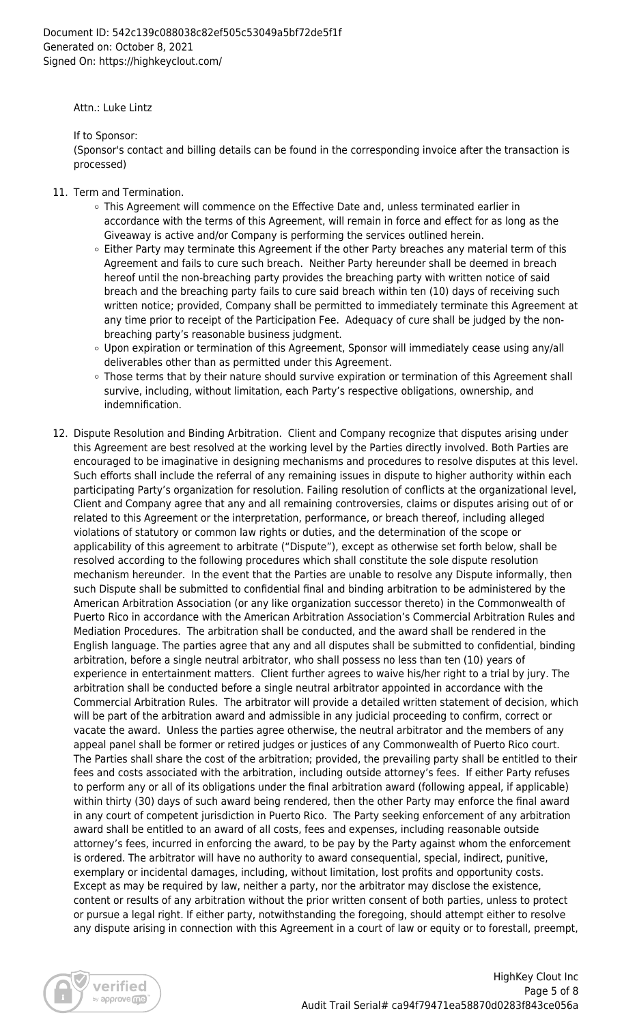Attn.: Luke Lintz

If to Sponsor:

(Sponsor's contact and billing details can be found in the corresponding invoice after the transaction is processed)

- 11. Term and Termination.
	- This Agreement will commence on the Effective Date and, unless terminated earlier in accordance with the terms of this Agreement, will remain in force and effect for as long as the Giveaway is active and/or Company is performing the services outlined herein.
	- $\circ$  Either Party may terminate this Agreement if the other Party breaches any material term of this Agreement and fails to cure such breach. Neither Party hereunder shall be deemed in breach hereof until the non-breaching party provides the breaching party with written notice of said breach and the breaching party fails to cure said breach within ten (10) days of receiving such written notice; provided, Company shall be permitted to immediately terminate this Agreement at any time prior to receipt of the Participation Fee. Adequacy of cure shall be judged by the nonbreaching party's reasonable business judgment.
	- Upon expiration or termination of this Agreement, Sponsor will immediately cease using any/all deliverables other than as permitted under this Agreement.
	- o Those terms that by their nature should survive expiration or termination of this Agreement shall survive, including, without limitation, each Party's respective obligations, ownership, and indemnification.
- 12. Dispute Resolution and Binding Arbitration. Client and Company recognize that disputes arising under this Agreement are best resolved at the working level by the Parties directly involved. Both Parties are encouraged to be imaginative in designing mechanisms and procedures to resolve disputes at this level. Such efforts shall include the referral of any remaining issues in dispute to higher authority within each participating Party's organization for resolution. Failing resolution of conflicts at the organizational level, Client and Company agree that any and all remaining controversies, claims or disputes arising out of or related to this Agreement or the interpretation, performance, or breach thereof, including alleged violations of statutory or common law rights or duties, and the determination of the scope or applicability of this agreement to arbitrate ("Dispute"), except as otherwise set forth below, shall be resolved according to the following procedures which shall constitute the sole dispute resolution mechanism hereunder. In the event that the Parties are unable to resolve any Dispute informally, then such Dispute shall be submitted to confidential final and binding arbitration to be administered by the American Arbitration Association (or any like organization successor thereto) in the Commonwealth of Puerto Rico in accordance with the American Arbitration Association's Commercial Arbitration Rules and Mediation Procedures. The arbitration shall be conducted, and the award shall be rendered in the English language. The parties agree that any and all disputes shall be submitted to confidential, binding arbitration, before a single neutral arbitrator, who shall possess no less than ten (10) years of experience in entertainment matters. Client further agrees to waive his/her right to a trial by jury. The arbitration shall be conducted before a single neutral arbitrator appointed in accordance with the Commercial Arbitration Rules. The arbitrator will provide a detailed written statement of decision, which will be part of the arbitration award and admissible in any judicial proceeding to confirm, correct or vacate the award. Unless the parties agree otherwise, the neutral arbitrator and the members of any appeal panel shall be former or retired judges or justices of any Commonwealth of Puerto Rico court. The Parties shall share the cost of the arbitration; provided, the prevailing party shall be entitled to their fees and costs associated with the arbitration, including outside attorney's fees. If either Party refuses to perform any or all of its obligations under the final arbitration award (following appeal, if applicable) within thirty (30) days of such award being rendered, then the other Party may enforce the final award in any court of competent jurisdiction in Puerto Rico. The Party seeking enforcement of any arbitration award shall be entitled to an award of all costs, fees and expenses, including reasonable outside attorney's fees, incurred in enforcing the award, to be pay by the Party against whom the enforcement is ordered. The arbitrator will have no authority to award consequential, special, indirect, punitive, exemplary or incidental damages, including, without limitation, lost profits and opportunity costs. Except as may be required by law, neither a party, nor the arbitrator may disclose the existence, content or results of any arbitration without the prior written consent of both parties, unless to protect or pursue a legal right. If either party, notwithstanding the foregoing, should attempt either to resolve any dispute arising in connection with this Agreement in a court of law or equity or to forestall, preempt,

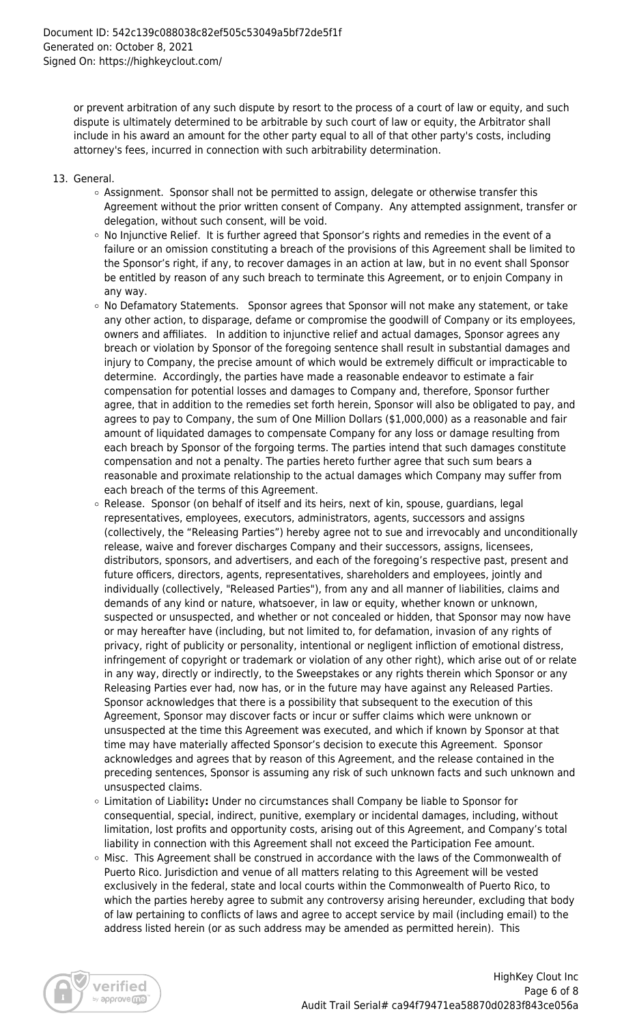or prevent arbitration of any such dispute by resort to the process of a court of law or equity, and such dispute is ultimately determined to be arbitrable by such court of law or equity, the Arbitrator shall include in his award an amount for the other party equal to all of that other party's costs, including attorney's fees, incurred in connection with such arbitrability determination.

- 13. General.
	- Assignment. Sponsor shall not be permitted to assign, delegate or otherwise transfer this Agreement without the prior written consent of Company. Any attempted assignment, transfer or delegation, without such consent, will be void.
	- $\circ$  No Injunctive Relief. It is further agreed that Sponsor's rights and remedies in the event of a failure or an omission constituting a breach of the provisions of this Agreement shall be limited to the Sponsor's right, if any, to recover damages in an action at law, but in no event shall Sponsor be entitled by reason of any such breach to terminate this Agreement, or to enjoin Company in any way.
	- o No Defamatory Statements. Sponsor agrees that Sponsor will not make any statement, or take any other action, to disparage, defame or compromise the goodwill of Company or its employees, owners and affiliates. In addition to injunctive relief and actual damages, Sponsor agrees any breach or violation by Sponsor of the foregoing sentence shall result in substantial damages and injury to Company, the precise amount of which would be extremely difficult or impracticable to determine. Accordingly, the parties have made a reasonable endeavor to estimate a fair compensation for potential losses and damages to Company and, therefore, Sponsor further agree, that in addition to the remedies set forth herein, Sponsor will also be obligated to pay, and agrees to pay to Company, the sum of One Million Dollars (\$1,000,000) as a reasonable and fair amount of liquidated damages to compensate Company for any loss or damage resulting from each breach by Sponsor of the forgoing terms. The parties intend that such damages constitute compensation and not a penalty. The parties hereto further agree that such sum bears a reasonable and proximate relationship to the actual damages which Company may suffer from each breach of the terms of this Agreement.
	- $\circ$  Release. Sponsor (on behalf of itself and its heirs, next of kin, spouse, guardians, legal representatives, employees, executors, administrators, agents, successors and assigns (collectively, the "Releasing Parties") hereby agree not to sue and irrevocably and unconditionally release, waive and forever discharges Company and their successors, assigns, licensees, distributors, sponsors, and advertisers, and each of the foregoing's respective past, present and future officers, directors, agents, representatives, shareholders and employees, jointly and individually (collectively, "Released Parties"), from any and all manner of liabilities, claims and demands of any kind or nature, whatsoever, in law or equity, whether known or unknown, suspected or unsuspected, and whether or not concealed or hidden, that Sponsor may now have or may hereafter have (including, but not limited to, for defamation, invasion of any rights of privacy, right of publicity or personality, intentional or negligent infliction of emotional distress, infringement of copyright or trademark or violation of any other right), which arise out of or relate in any way, directly or indirectly, to the Sweepstakes or any rights therein which Sponsor or any Releasing Parties ever had, now has, or in the future may have against any Released Parties. Sponsor acknowledges that there is a possibility that subsequent to the execution of this Agreement, Sponsor may discover facts or incur or suffer claims which were unknown or unsuspected at the time this Agreement was executed, and which if known by Sponsor at that time may have materially affected Sponsor's decision to execute this Agreement. Sponsor acknowledges and agrees that by reason of this Agreement, and the release contained in the preceding sentences, Sponsor is assuming any risk of such unknown facts and such unknown and unsuspected claims.
	- Limitation of Liability**:** Under no circumstances shall Company be liable to Sponsor for consequential, special, indirect, punitive, exemplary or incidental damages, including, without limitation, lost profits and opportunity costs, arising out of this Agreement, and Company's total liability in connection with this Agreement shall not exceed the Participation Fee amount.
	- Misc. This Agreement shall be construed in accordance with the laws of the Commonwealth of Puerto Rico. Jurisdiction and venue of all matters relating to this Agreement will be vested exclusively in the federal, state and local courts within the Commonwealth of Puerto Rico, to which the parties hereby agree to submit any controversy arising hereunder, excluding that body of law pertaining to conflicts of laws and agree to accept service by mail (including email) to the address listed herein (or as such address may be amended as permitted herein). This

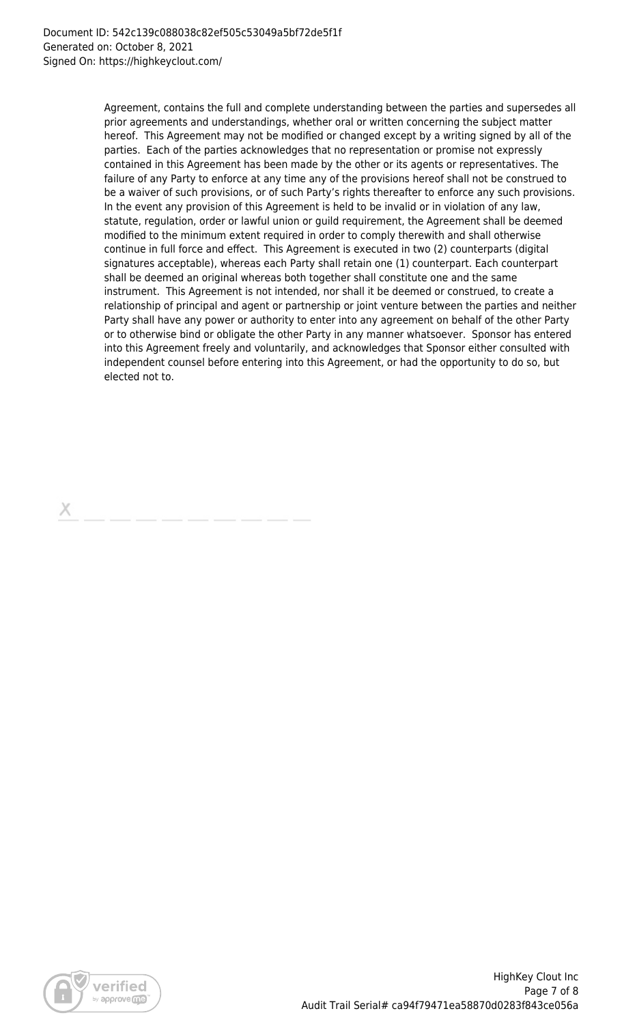Agreement, contains the full and complete understanding between the parties and supersedes all prior agreements and understandings, whether oral or written concerning the subject matter hereof. This Agreement may not be modified or changed except by a writing signed by all of the parties. Each of the parties acknowledges that no representation or promise not expressly contained in this Agreement has been made by the other or its agents or representatives. The failure of any Party to enforce at any time any of the provisions hereof shall not be construed to be a waiver of such provisions, or of such Party's rights thereafter to enforce any such provisions. In the event any provision of this Agreement is held to be invalid or in violation of any law, statute, regulation, order or lawful union or guild requirement, the Agreement shall be deemed modified to the minimum extent required in order to comply therewith and shall otherwise continue in full force and effect. This Agreement is executed in two (2) counterparts (digital signatures acceptable), whereas each Party shall retain one (1) counterpart. Each counterpart shall be deemed an original whereas both together shall constitute one and the same instrument. This Agreement is not intended, nor shall it be deemed or construed, to create a relationship of principal and agent or partnership or joint venture between the parties and neither Party shall have any power or authority to enter into any agreement on behalf of the other Party or to otherwise bind or obligate the other Party in any manner whatsoever. Sponsor has entered into this Agreement freely and voluntarily, and acknowledges that Sponsor either consulted with independent counsel before entering into this Agreement, or had the opportunity to do so, but elected not to.

х